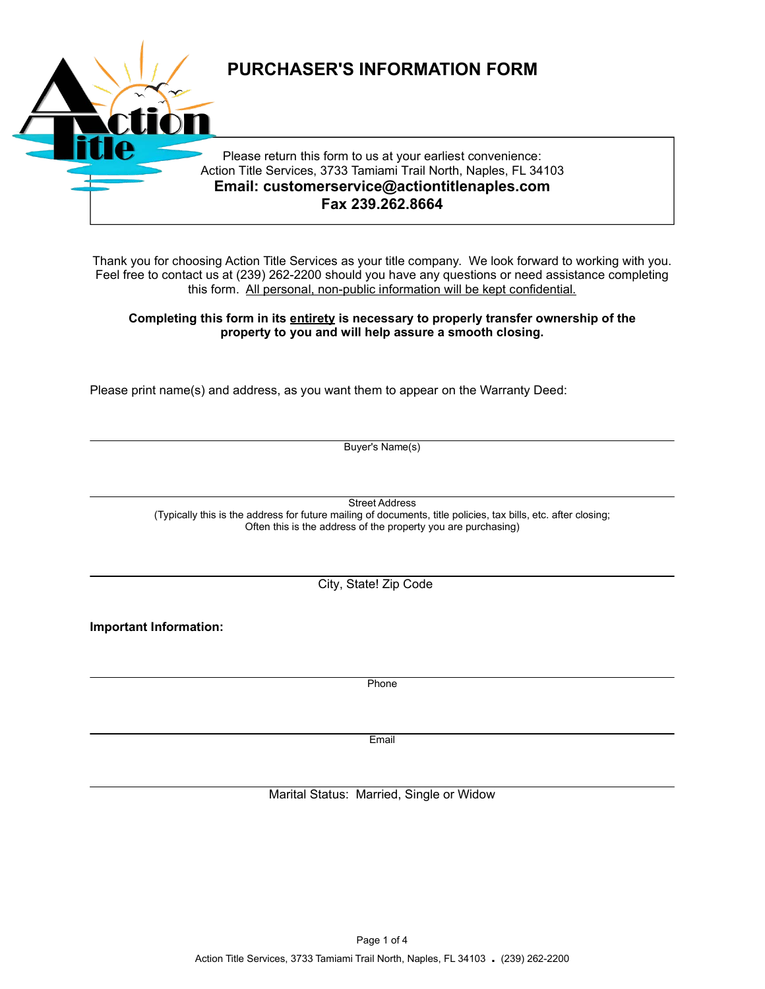

Thank you for choosing Action Title Services as your title company. We look forward to working with you. Feel free to contact us at (239) 262-2200 should you have any questions or need assistance completing this form. All personal, non-public information will be kept confidential.

# **Completing this form in its entirety is necessary to properly transfer ownership of the property to you and will help assure a smooth closing.**

Please print name(s) and address, as you want them to appear on the Warranty Deed:

Buyer's Name(s)

Street Address (Typically this is the address for future mailing of documents, title policies, tax bills, etc. after closing; Often this is the address of the property you are purchasing)

City, State! Zip Code

**Important Information:**

Phone

**Email** 

Marital Status: Married, Single or Widow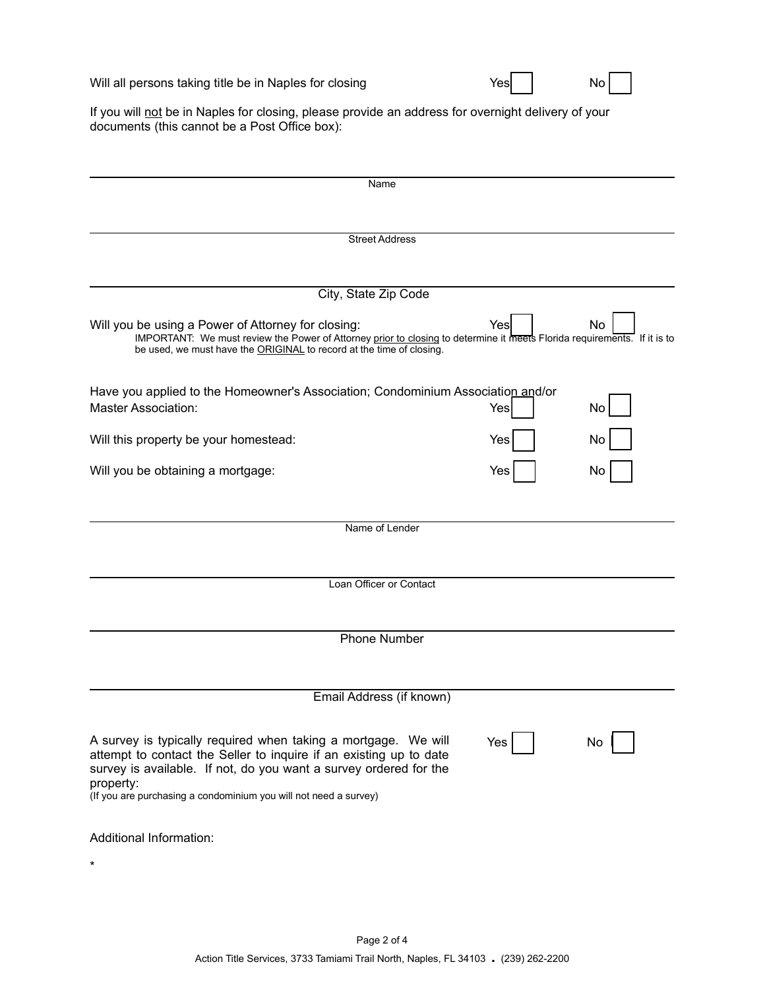Will all persons taking title be in Naples for closing **Will all persons taking title be in Naples** for closing

|  | No l |  |  |
|--|------|--|--|
|--|------|--|--|

If you will not be in Naples for closing, please provide an address for overnight delivery of your documents (this cannot be a Post Office box):

| Name                                                                                                                                                                                                                                                                                       |     |    |
|--------------------------------------------------------------------------------------------------------------------------------------------------------------------------------------------------------------------------------------------------------------------------------------------|-----|----|
|                                                                                                                                                                                                                                                                                            |     |    |
| <b>Street Address</b>                                                                                                                                                                                                                                                                      |     |    |
|                                                                                                                                                                                                                                                                                            |     |    |
| City, State Zip Code                                                                                                                                                                                                                                                                       |     |    |
|                                                                                                                                                                                                                                                                                            |     |    |
| Will you be using a Power of Attorney for closing:<br>IMPORTANT: We must review the Power of Attorney prior to closing to determine it meets Florida requirements. If it is to<br>be used, we must have the ORIGINAL to record at the time of closing.                                     | Yes | No |
| Have you applied to the Homeowner's Association; Condominium Association and/or                                                                                                                                                                                                            |     |    |
| <b>Master Association:</b>                                                                                                                                                                                                                                                                 | Yes | No |
| Will this property be your homestead:                                                                                                                                                                                                                                                      | Yes | No |
| Will you be obtaining a mortgage:                                                                                                                                                                                                                                                          | Yes | No |
|                                                                                                                                                                                                                                                                                            |     |    |
| Name of Lender                                                                                                                                                                                                                                                                             |     |    |
|                                                                                                                                                                                                                                                                                            |     |    |
| Loan Officer or Contact                                                                                                                                                                                                                                                                    |     |    |
|                                                                                                                                                                                                                                                                                            |     |    |
| <b>Phone Number</b>                                                                                                                                                                                                                                                                        |     |    |
|                                                                                                                                                                                                                                                                                            |     |    |
|                                                                                                                                                                                                                                                                                            |     |    |
| Email Address (if known)                                                                                                                                                                                                                                                                   |     |    |
| A survey is typically required when taking a mortgage. We will<br>attempt to contact the Seller to inquire if an existing up to date<br>survey is available. If not, do you want a survey ordered for the<br>property:<br>(If you are purchasing a condominium you will not need a survey) | Yes | No |
|                                                                                                                                                                                                                                                                                            |     |    |
| Additional Information:                                                                                                                                                                                                                                                                    |     |    |
| $^\star$                                                                                                                                                                                                                                                                                   |     |    |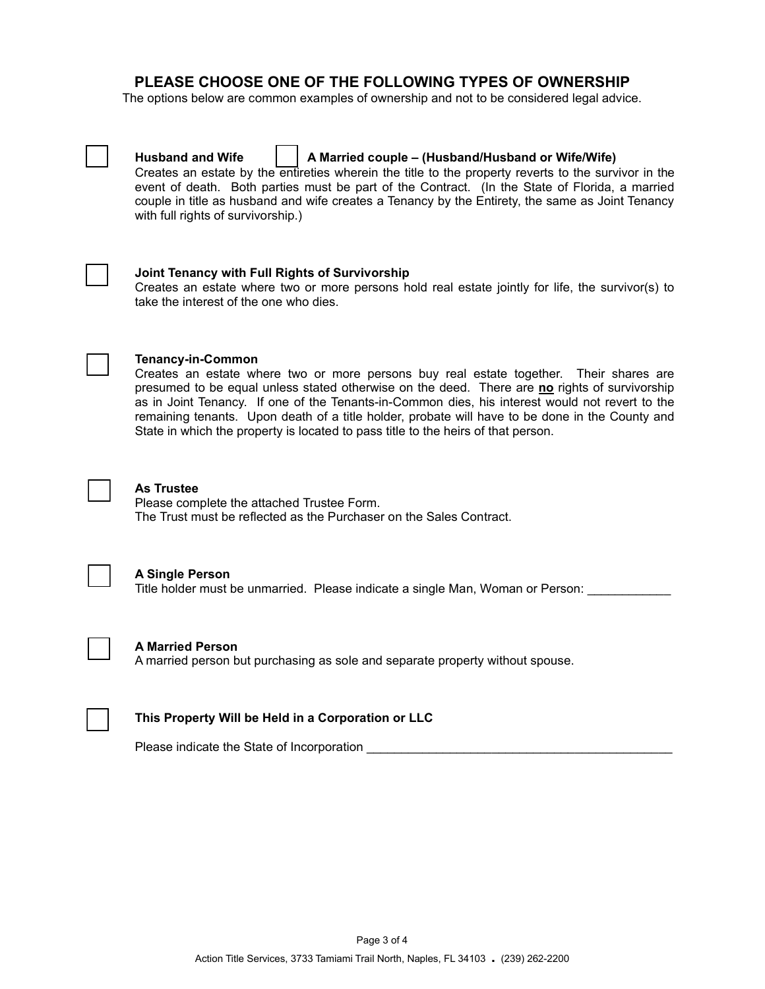# **PLEASE CHOOSE ONE OF THE FOLLOWING TYPES OF OWNERSHIP**

The options below are common examples of ownership and not to be considered legal advice.



## **Husband and Wife**   $\vert \cdot \vert$  **A** Married couple – (Husband/Husband or Wife/Wife)

Creates an estate by the entireties wherein the title to the property reverts to the survivor in the event of death. Both parties must be part of the Contract. (In the State of Florida, a married couple in title as husband and wife creates a Tenancy by the Entirety, the same as Joint Tenancy with full rights of survivorship.)



#### ® **Joint Tenancy with Full Rights of Survivorship**

Creates an estate where two or more persons hold real estate jointly for life, the survivor(s) to take the interest of the one who dies.



## ® **Tenancy-in-Common**

Creates an estate where two or more persons buy real estate together. Their shares are presumed to be equal unless stated otherwise on the deed. There are **no** rights of survivorship as in Joint Tenancy. If one of the Tenants-in-Common dies, his interest would not revert to the remaining tenants. Upon death of a title holder, probate will have to be done in the County and State in which the property is located to pass title to the heirs of that person.



#### ® **As Trustee**

Please complete the attached Trustee Form. The Trust must be reflected as the Purchaser on the Sales Contract.



#### ® **A Single Person**

Title holder must be unmarried. Please indicate a single Man, Woman or Person:



#### ® **A Married Person**

A married person but purchasing as sole and separate property without spouse.



#### ® **This Property Will be Held in a Corporation or LLC**

Please indicate the State of Incorporation